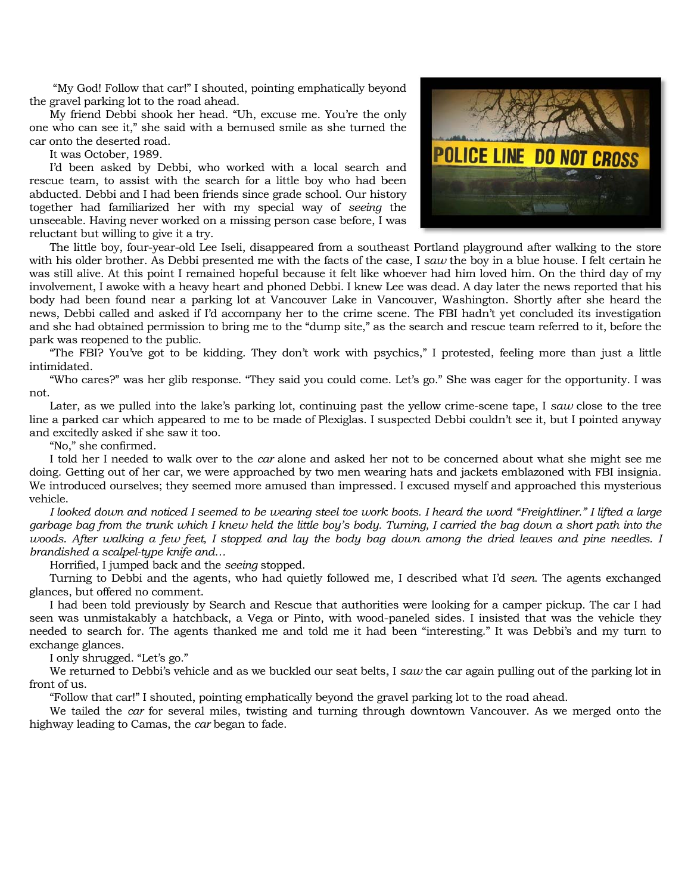"My God! Follow that car!" I shouted, pointing emphatically beyond the gravel parking lot to the road ahead.

My friend Debbi shook her head. "Uh, excuse me. You're the only one who can see it," she said with a bemused smile as she turned the car onto the deserted road.

It w was October, 1989.

I'd been asked by Debbi, who worked with a local search and rescue team, to assist with the search for a little boy who had been abducted. Debbi and I had been friends since grade school. Our history together had familiarized her with my special way of *seeing* the unseeable. Having never worked on a missing person case before, I was relucta ant but willin ng to give it a try.



The little boy, four-year-old Lee Iseli, disappeared from a southeast Portland playground after walking to the store with his older brother. As Debbi presented me with the facts of the case, I saw the boy in a blue house. I felt certain he was still alive. At this point I remained hopeful because it felt like whoever had him loved him. On the third day of my involvement, I awoke with a heavy heart and phoned Debbi. I knew Lee was dead. A day later the news reported that his body had been found near a parking lot at Vancouver Lake in Vancouver, Washington. Shortly after she heard the news, Debbi called and asked if I'd accompany her to the crime scene. The FBI hadn't yet concluded its investigation and she had obtained permission to bring me to the "dump site," as the search and rescue team referred to it, before the park was reopened to the public.

"The FBI? You've got to be kidding. They don't work with psychics," I protested, feeling more than just a little intimid dated.

"Who cares?" was her glib response. "They said you could come. Let's go." She was eager for the opportunity. I was not.

Later, as we pulled into the lake's parking lot, continuing past the yellow crime-scene tape, I saw close to the tree line a parked car which appeared to me to be made of Plexiglas. I suspected Debbi couldn't see it, but I pointed anyway and excitedly asked if she saw it too.

"No," she confirmed.

I told her I needed to walk over to the *car* alone and asked her not to be concerned about what she might see me doing. Getting out of her car, we were approached by two men wearing hats and jackets emblazoned with FBI insignia. We introduced ourselves; they seemed more amused than impressed. I excused myself and approached this mysterious vehicle e.

*I lo ooked down a and noticed I I seemed to b be wearing st teel toe work k boots. I hea ard the word "Freightliner. ." I lifted a la arge garbag ge bag from t the trunk wh ich I knew h eld the little boy's body. T Turning, I ca arried the bag g down a sho ort path into the w*oods. After walking a few feet, I stopped and lay the body bag down among the dried leaves and pine needles. I *brandished a scalpel-type knife and...* 

Horrified, I jumped back and the *seeing* stopped.

Turning to Debbi and the agents, who had quietly followed me, I described what I'd *seen*. The agents exchanged glances, but offered no comment.

I had been told previously by Search and Rescue that authorities were looking for a camper pickup. The car I had seen was unmistakably a hatchback, a Vega or Pinto, with wood-paneled sides. I insisted that was the vehicle they needed to search for. The agents thanked me and told me it had been "interesting." It was Debbi's and my turn to exchan nge glances.

I only shrugged. "Let's go."

We returned to Debbi's vehicle and as we buckled our seat belts, I saw the car again pulling out of the parking lot in front of us.

"Follow that car!" I shouted, pointing emphatically beyond the gravel parking lot to the road ahead.

We tailed the *car* for several miles, twisting and turning through downtown Vancouver. As we merged onto the highwa ay leading to Camas, the *car* began to fade.